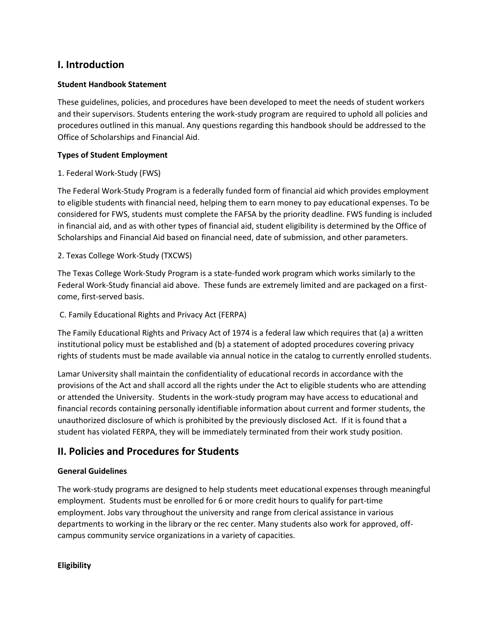# **I. Introduction**

# **Student Handbook Statement**

These guidelines, policies, and procedures have been developed to meet the needs of student workers and their supervisors. Students entering the work-study program are required to uphold all policies and procedures outlined in this manual. Any questions regarding this handbook should be addressed to the Office of Scholarships and Financial Aid.

### **Types of Student Employment**

### 1. Federal Work-Study (FWS)

The Federal Work-Study Program is a federally funded form of financial aid which provides employment to eligible students with financial need, helping them to earn money to pay educational expenses. To be considered for FWS, students must complete the FAFSA by the priority deadline. FWS funding is included in financial aid, and as with other types of financial aid, student eligibility is determined by the Office of Scholarships and Financial Aid based on financial need, date of submission, and other parameters.

### 2. Texas College Work-Study (TXCWS)

The Texas College Work-Study Program is a state-funded work program which works similarly to the Federal Work-Study financial aid above. These funds are extremely limited and are packaged on a firstcome, first-served basis.

## C. Family Educational Rights and Privacy Act (FERPA)

The Family Educational Rights and Privacy Act of 1974 is a federal law which requires that (a) a written institutional policy must be established and (b) a statement of adopted procedures covering privacy rights of students must be made available via annual notice in the catalog to currently enrolled students.

Lamar University shall maintain the confidentiality of educational records in accordance with the provisions of the Act and shall accord all the rights under the Act to eligible students who are attending or attended the University. Students in the work-study program may have access to educational and financial records containing personally identifiable information about current and former students, the unauthorized disclosure of which is prohibited by the previously disclosed Act. If it is found that a student has violated FERPA, they will be immediately terminated from their work study position.

# **II. Policies and Procedures for Students**

#### **General Guidelines**

The work-study programs are designed to help students meet educational expenses through meaningful employment. Students must be enrolled for 6 or more credit hours to qualify for part-time employment. Jobs vary throughout the university and range from clerical assistance in various departments to working in the library or the rec center. Many students also work for approved, offcampus community service organizations in a variety of capacities.

**Eligibility**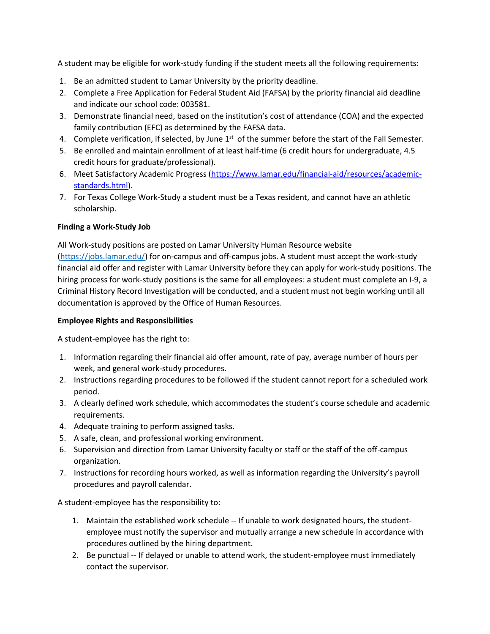A student may be eligible for work-study funding if the student meets all the following requirements:

- 1. Be an admitted student to Lamar University by the priority deadline.
- 2. Complete a Free Application for Federal Student Aid (FAFSA) by the priority financial aid deadline and indicate our school code: 003581.
- 3. Demonstrate financial need, based on the institution's cost of attendance (COA) and the expected family contribution (EFC) as determined by the FAFSA data.
- 4. Complete verification, if selected, by June  $1<sup>st</sup>$  of the summer before the start of the Fall Semester.
- 5. Be enrolled and maintain enrollment of at least half-time (6 credit hours for undergraduate, 4.5 credit hours for graduate/professional).
- 6. Meet Satisfactory Academic Progress [\(https://www.lamar.edu/financial-aid/resources/academic](https://www.lamar.edu/financial-aid/resources/academic-standards.html)[standards.html\)](https://www.lamar.edu/financial-aid/resources/academic-standards.html).
- 7. For Texas College Work-Study a student must be a Texas resident, and cannot have an athletic scholarship.

# **Finding a Work-Study Job**

All Work-study positions are posted on Lamar University Human Resource website

[\(https://jobs.lamar.edu/\)](https://jobs.lamar.edu/) for on-campus and off-campus jobs. A student must accept the work-study financial aid offer and register with Lamar University before they can apply for work-study positions. The hiring process for work-study positions is the same for all employees: a student must complete an I-9, a Criminal History Record Investigation will be conducted, and a student must not begin working until all documentation is approved by the Office of Human Resources.

# **Employee Rights and Responsibilities**

A student-employee has the right to:

- 1. Information regarding their financial aid offer amount, rate of pay, average number of hours per week, and general work-study procedures.
- 2. Instructions regarding procedures to be followed if the student cannot report for a scheduled work period.
- 3. A clearly defined work schedule, which accommodates the student's course schedule and academic requirements.
- 4. Adequate training to perform assigned tasks.
- 5. A safe, clean, and professional working environment.
- 6. Supervision and direction from Lamar University faculty or staff or the staff of the off-campus organization.
- 7. Instructions for recording hours worked, as well as information regarding the University's payroll procedures and payroll calendar.

A student-employee has the responsibility to:

- 1. Maintain the established work schedule -- If unable to work designated hours, the studentemployee must notify the supervisor and mutually arrange a new schedule in accordance with procedures outlined by the hiring department.
- 2. Be punctual -- If delayed or unable to attend work, the student-employee must immediately contact the supervisor.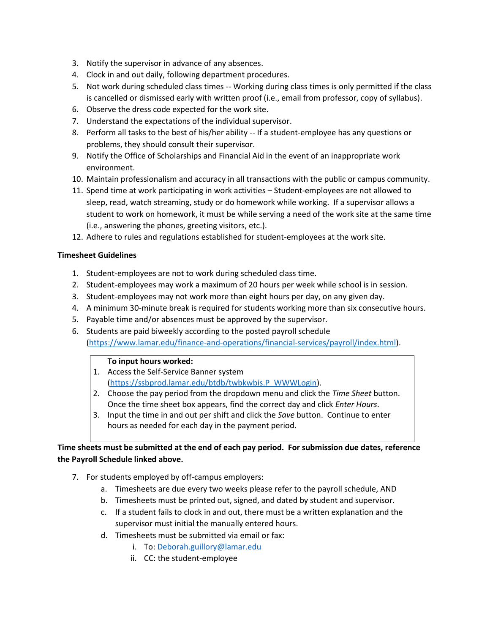- 3. Notify the supervisor in advance of any absences.
- 4. Clock in and out daily, following department procedures.
- 5. Not work during scheduled class times -- Working during class times is only permitted if the class is cancelled or dismissed early with written proof (i.e., email from professor, copy of syllabus).
- 6. Observe the dress code expected for the work site.
- 7. Understand the expectations of the individual supervisor.
- 8. Perform all tasks to the best of his/her ability -- If a student-employee has any questions or problems, they should consult their supervisor.
- 9. Notify the Office of Scholarships and Financial Aid in the event of an inappropriate work environment.
- 10. Maintain professionalism and accuracy in all transactions with the public or campus community.
- 11. Spend time at work participating in work activities Student-employees are not allowed to sleep, read, watch streaming, study or do homework while working. If a supervisor allows a student to work on homework, it must be while serving a need of the work site at the same time (i.e., answering the phones, greeting visitors, etc.).
- 12. Adhere to rules and regulations established for student-employees at the work site.

### **Timesheet Guidelines**

- 1. Student-employees are not to work during scheduled class time.
- 2. Student-employees may work a maximum of 20 hours per week while school is in session.
- 3. Student-employees may not work more than eight hours per day, on any given day.
- 4. A minimum 30-minute break is required for students working more than six consecutive hours.
- 5. Payable time and/or absences must be approved by the supervisor.
- 6. Students are paid biweekly according to the posted payroll schedule

[\(https://www.lamar.edu/finance-and-operations/financial-services/payroll/index.html\)](https://www.lamar.edu/finance-and-operations/financial-services/payroll/index.html).

#### **To input hours worked:**

- 1. Access the Self-Service Banner system [\(https://ssbprod.lamar.edu/btdb/twbkwbis.P\\_WWWLogin\)](https://ssbprod.lamar.edu/btdb/twbkwbis.P_WWWLogin).
- 2. Choose the pay period from the dropdown menu and click the *Time Sheet* button. Once the time sheet box appears, find the correct day and click *Enter Hours*.
- 3. Input the time in and out per shift and click the *Save* button. Continue to enter hours as needed for each day in the payment period.

**Time sheets must be submitted at the end of each pay period. For submission due dates, reference the Payroll Schedule linked above.**

- 7. For students employed by off-campus employers:
	- a. Timesheets are due every two weeks please refer to the payroll schedule, AND
	- b. Timesheets must be printed out, signed, and dated by student and supervisor.
	- c. If a student fails to clock in and out, there must be a written explanation and the supervisor must initial the manually entered hours.
	- d. Timesheets must be submitted via email or fax:
		- i. To[: Deborah.guillory@lamar.edu](mailto:Deborah.guillory@lamar.edu)
		- ii. CC: the student-employee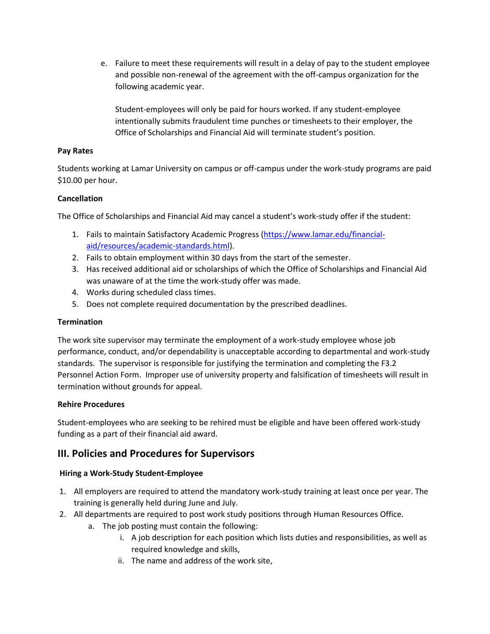e. Failure to meet these requirements will result in a delay of pay to the student employee and possible non-renewal of the agreement with the off-campus organization for the following academic year.

Student-employees will only be paid for hours worked. If any student-employee intentionally submits fraudulent time punches or timesheets to their employer, the Office of Scholarships and Financial Aid will terminate student's position.

### **Pay Rates**

Students working at Lamar University on campus or off-campus under the work-study programs are paid \$10.00 per hour.

### **Cancellation**

The Office of Scholarships and Financial Aid may cancel a student's work-study offer if the student:

- 1. Fails to maintain Satisfactory Academic Progress [\(https://www.lamar.edu/financial](https://www.lamar.edu/financial-aid/resources/academic-standards.html)[aid/resources/academic-standards.html\)](https://www.lamar.edu/financial-aid/resources/academic-standards.html).
- 2. Fails to obtain employment within 30 days from the start of the semester.
- 3. Has received additional aid or scholarships of which the Office of Scholarships and Financial Aid was unaware of at the time the work-study offer was made.
- 4. Works during scheduled class times.
- 5. Does not complete required documentation by the prescribed deadlines.

## **Termination**

The work site supervisor may terminate the employment of a work-study employee whose job performance, conduct, and/or dependability is unacceptable according to departmental and work-study standards. The supervisor is responsible for justifying the termination and completing the F3.2 Personnel Action Form. Improper use of university property and falsification of timesheets will result in termination without grounds for appeal.

#### **Rehire Procedures**

Student-employees who are seeking to be rehired must be eligible and have been offered work-study funding as a part of their financial aid award.

# **III. Policies and Procedures for Supervisors**

# **Hiring a Work-Study Student-Employee**

- 1. All employers are required to attend the mandatory work-study training at least once per year. The training is generally held during June and July.
- 2. All departments are required to post work study positions through Human Resources Office.
	- a. The job posting must contain the following:
		- i. A job description for each position which lists duties and responsibilities, as well as required knowledge and skills,
		- ii. The name and address of the work site,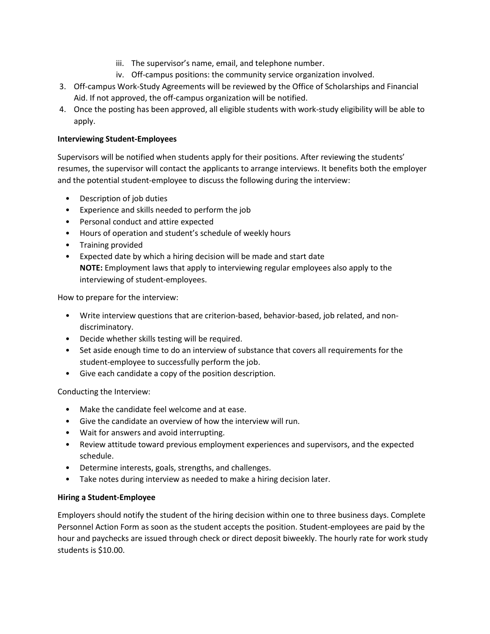- iii. The supervisor's name, email, and telephone number.
- iv. Off-campus positions: the community service organization involved.
- 3. Off-campus Work-Study Agreements will be reviewed by the Office of Scholarships and Financial Aid. If not approved, the off-campus organization will be notified.
- 4. Once the posting has been approved, all eligible students with work-study eligibility will be able to apply.

#### **Interviewing Student-Employees**

Supervisors will be notified when students apply for their positions. After reviewing the students' resumes, the supervisor will contact the applicants to arrange interviews. It benefits both the employer and the potential student-employee to discuss the following during the interview:

- Description of job duties
- Experience and skills needed to perform the job
- Personal conduct and attire expected
- Hours of operation and student's schedule of weekly hours
- Training provided
- Expected date by which a hiring decision will be made and start date **NOTE:** Employment laws that apply to interviewing regular employees also apply to the interviewing of student-employees.

How to prepare for the interview:

- Write interview questions that are criterion-based, behavior-based, job related, and nondiscriminatory.
- Decide whether skills testing will be required.
- Set aside enough time to do an interview of substance that covers all requirements for the student-employee to successfully perform the job.
- Give each candidate a copy of the position description.

Conducting the Interview:

- Make the candidate feel welcome and at ease.
- Give the candidate an overview of how the interview will run.
- Wait for answers and avoid interrupting.
- Review attitude toward previous employment experiences and supervisors, and the expected schedule.
- Determine interests, goals, strengths, and challenges.
- Take notes during interview as needed to make a hiring decision later.

#### **Hiring a Student-Employee**

Employers should notify the student of the hiring decision within one to three business days. Complete Personnel Action Form as soon as the student accepts the position. Student-employees are paid by the hour and paychecks are issued through check or direct deposit biweekly. The hourly rate for work study students is \$10.00.